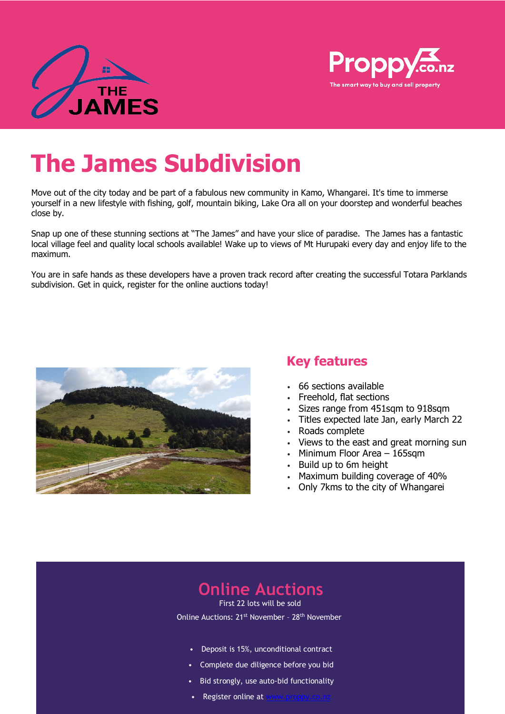



# **The James Subdivision**

Move out of the city today and be part of a fabulous new community in Kamo, Whangarei. It's time to immerse yourself in a new lifestyle with fishing, golf, mountain biking, Lake Ora all on your doorstep and wonderful beaches close by.

Snap up one of these stunning sections at "The James" and have your slice of paradise. The James has a fantastic local village feel and quality local schools available! Wake up to views of Mt Hurupaki every day and enjoy life to the maximum.

You are in safe hands as these developers have a proven track record after creating the successful Totara Parklands subdivision. Get in quick, register for the online auctions today!



### **Key features**

- 66 sections available
- Freehold, flat sections
- Sizes range from 451sqm to 918sqm
- Titles expected late Jan, early March 22
- Roads complete
- Views to the east and great morning sun
- Minimum Floor Area 165sqm
- Build up to 6m height
- Maximum building coverage of 40%
- Only 7kms to the city of Whangarei

# **Online Auctions**

First 22 lots will be sold Online Auctions: 21<sup>st</sup> November - 28<sup>th</sup> November

- Deposit is 15%, unconditional contract
- Complete due diligence before you bid
- Bid strongly, use auto-bid functionality
- Register online at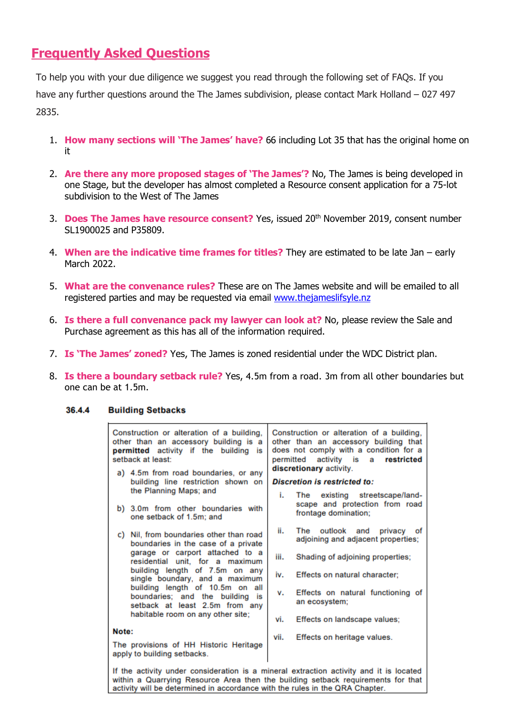## **Frequently Asked Questions**

To help you with your due diligence we suggest you read through the following set of FAQs. If you have any further questions around the The James subdivision, please contact Mark Holland – 027 497 2835.

- 1. **How many sections will 'The James' have?** 66 including Lot 35 that has the original home on it
- 2. **Are there any more proposed stages of 'The James'?** No, The James is being developed in one Stage, but the developer has almost completed a Resource consent application for a 75-lot subdivision to the West of The James
- 3. **Does The James have resource consent?** Yes, issued 20<sup>th</sup> November 2019, consent number SL1900025 and P35809.
- 4. **When are the indicative time frames for titles?** They are estimated to be late Jan early March 2022.
- 5. **What are the convenance rules?** These are on The James website and will be emailed to all registered parties and may be requested via email [www.thejameslifsyle.nz](http://www.thejameslifsyle.nz/)
- 6. **Is there a full convenance pack my lawyer can look at?** No, please review the Sale and Purchase agreement as this has all of the information required.
- 7. **Is 'The James' zoned?** Yes, The James is zoned residential under the WDC District plan.
- 8. **Is there a boundary setback rule?** Yes, 4.5m from a road. 3m from all other boundaries but one can be at 1.5m.

#### 36.4.4 **Building Setbacks**

| Construction or alteration of a building,<br>other than an accessory building is a<br>permitted activity if the building is<br>setback at least:<br>a) 4.5m from road boundaries, or any                                                                                                                                                                                 | Construction or alteration of a building,<br>other than an accessory building that<br>does not comply with a condition for a<br>permitted activity is a restricted<br>discretionary activity. |
|--------------------------------------------------------------------------------------------------------------------------------------------------------------------------------------------------------------------------------------------------------------------------------------------------------------------------------------------------------------------------|-----------------------------------------------------------------------------------------------------------------------------------------------------------------------------------------------|
| building line restriction shown on<br>the Planning Maps; and                                                                                                                                                                                                                                                                                                             | <b>Discretion is restricted to:</b><br>The existing streetscape/land-<br>i.                                                                                                                   |
| b) 3.0m from other boundaries with<br>one setback of 1.5m; and                                                                                                                                                                                                                                                                                                           | scape and protection from road<br>frontage domination;                                                                                                                                        |
| Nil, from boundaries other than road<br>C)<br>boundaries in the case of a private<br>garage or carport attached to a<br>residential unit, for a maximum<br>building length of 7.5m on any<br>single boundary, and a maximum<br>building length of 10.5m on all<br>boundaries; and the building is<br>setback at least 2.5m from any<br>habitable room on any other site; | ii.<br>The<br>outlook and privacy of<br>adjoining and adjacent properties;                                                                                                                    |
|                                                                                                                                                                                                                                                                                                                                                                          | iii.<br>Shading of adjoining properties;                                                                                                                                                      |
|                                                                                                                                                                                                                                                                                                                                                                          | iv.<br>Effects on natural character:                                                                                                                                                          |
|                                                                                                                                                                                                                                                                                                                                                                          | Effects on natural functioning of<br>v.<br>an ecosystem;                                                                                                                                      |
|                                                                                                                                                                                                                                                                                                                                                                          | Effects on landscape values;<br>vi.                                                                                                                                                           |
| Note:                                                                                                                                                                                                                                                                                                                                                                    | Effects on heritage values.<br>vii.                                                                                                                                                           |
| The provisions of HH Historic Heritage<br>apply to building setbacks.                                                                                                                                                                                                                                                                                                    |                                                                                                                                                                                               |
| If the activity under consideration is a mineral extraction activity and it is located<br>within a Quarrying Resource Area then the building setback requirements for that<br>activity will be determined in accordance with the rules in the QRA Chapter.                                                                                                               |                                                                                                                                                                                               |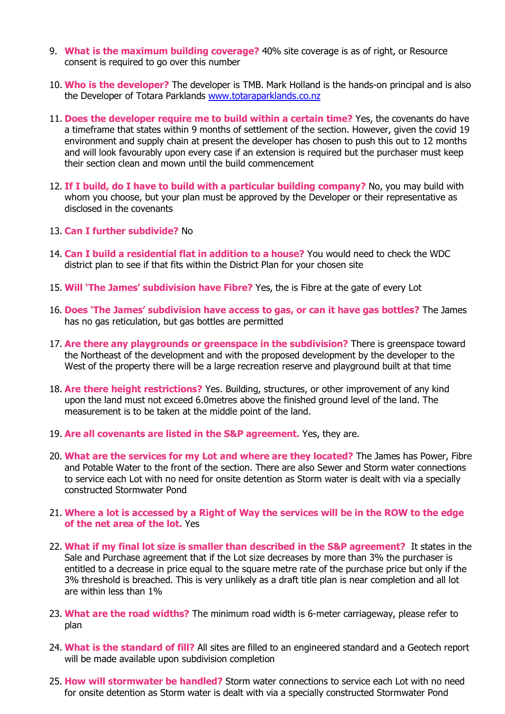- 9. **What is the maximum building coverage?** 40% site coverage is as of right, or Resource consent is required to go over this number
- 10. **Who is the developer?** The developer is TMB. Mark Holland is the hands-on principal and is also the Developer of Totara Parklands [www.totaraparklands.co.nz](http://www.totaraparklands.co.nz/)
- 11. **Does the developer require me to build within a certain time?** Yes, the covenants do have a timeframe that states within 9 months of settlement of the section. However, given the covid 19 environment and supply chain at present the developer has chosen to push this out to 12 months and will look favourably upon every case if an extension is required but the purchaser must keep their section clean and mown until the build commencement
- 12. **If I build, do I have to build with a particular building company?** No, you may build with whom you choose, but your plan must be approved by the Developer or their representative as disclosed in the covenants
- 13. **Can I further subdivide?** No
- 14. **Can I build a residential flat in addition to a house?** You would need to check the WDC district plan to see if that fits within the District Plan for your chosen site
- 15. **Will 'The James' subdivision have Fibre?** Yes, the is Fibre at the gate of every Lot
- 16. **Does 'The James' subdivision have access to gas, or can it have gas bottles?** The James has no gas reticulation, but gas bottles are permitted
- 17. **Are there any playgrounds or greenspace in the subdivision?** There is greenspace toward the Northeast of the development and with the proposed development by the developer to the West of the property there will be a large recreation reserve and playground built at that time
- 18. **Are there height restrictions?** Yes. Building, structures, or other improvement of any kind upon the land must not exceed 6.0metres above the finished ground level of the land. The measurement is to be taken at the middle point of the land.
- 19. **Are all covenants are listed in the S&P agreement.** Yes, they are.
- 20. **What are the services for my Lot and where are they located?** The James has Power, Fibre and Potable Water to the front of the section. There are also Sewer and Storm water connections to service each Lot with no need for onsite detention as Storm water is dealt with via a specially constructed Stormwater Pond
- 21. **Where a lot is accessed by a Right of Way the services will be in the ROW to the edge of the net area of the lot.** Yes
- 22. **What if my final lot size is smaller than described in the S&P agreement?** It states in the Sale and Purchase agreement that if the Lot size decreases by more than 3% the purchaser is entitled to a decrease in price equal to the square metre rate of the purchase price but only if the 3% threshold is breached. This is very unlikely as a draft title plan is near completion and all lot are within less than 1%
- 23. **What are the road widths?** The minimum road width is 6-meter carriageway, please refer to plan
- 24. **What is the standard of fill?** All sites are filled to an engineered standard and a Geotech report will be made available upon subdivision completion
- 25. **How will stormwater be handled?** Storm water connections to service each Lot with no need for onsite detention as Storm water is dealt with via a specially constructed Stormwater Pond